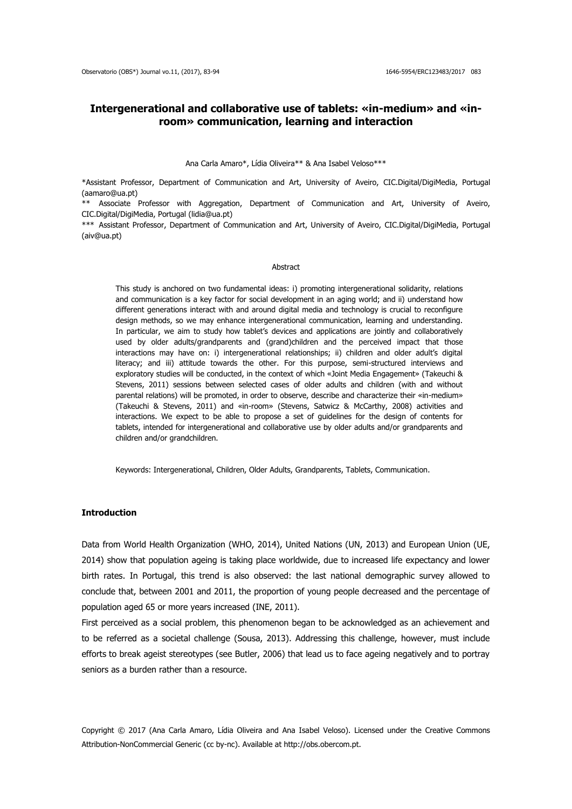# **Intergenerational and collaborative use of tablets: «in-medium» and «inroom» communication, learning and interaction**

#### Ana Carla Amaro\*, Lídia Oliveira\*\* & Ana Isabel Veloso\*\*\*

\*Assistant Professor, Department of Communication and Art, University of Aveiro, CIC.Digital/DigiMedia, Portugal (aamaro@ua.pt)

\*\* Associate Professor with Aggregation, Department of Communication and Art, University of Aveiro, CIC.Digital/DigiMedia, Portugal (lidia@ua.pt)

\*\*\* Assistant Professor, Department of Communication and Art, University of Aveiro, CIC.Digital/DigiMedia, Portugal (aiv@ua.pt)

#### Abstract

This study is anchored on two fundamental ideas: i) promoting intergenerational solidarity, relations and communication is a key factor for social development in an aging world; and ii) understand how different generations interact with and around digital media and technology is crucial to reconfigure design methods, so we may enhance intergenerational communication, learning and understanding. In particular, we aim to study how tablet's devices and applications are jointly and collaboratively used by older adults/grandparents and (grand)children and the perceived impact that those interactions may have on: i) intergenerational relationships; ii) children and older adult's digital literacy; and iii) attitude towards the other. For this purpose, semi-structured interviews and exploratory studies will be conducted, in the context of which «Joint Media Engagement» (Takeuchi & Stevens, 2011) sessions between selected cases of older adults and children (with and without parental relations) will be promoted, in order to observe, describe and characterize their «in-medium» (Takeuchi & Stevens, 2011) and «in-room» (Stevens, Satwicz & McCarthy, 2008) activities and interactions. We expect to be able to propose a set of guidelines for the design of contents for tablets, intended for intergenerational and collaborative use by older adults and/or grandparents and children and/or grandchildren.

Keywords: Intergenerational, Children, Older Adults, Grandparents, Tablets, Communication.

## **Introduction**

Data from World Health Organization (WHO, 2014), United Nations (UN, 2013) and European Union (UE, 2014) show that population ageing is taking place worldwide, due to increased life expectancy and lower birth rates. In Portugal, this trend is also observed: the last national demographic survey allowed to conclude that, between 2001 and 2011, the proportion of young people decreased and the percentage of population aged 65 or more years increased (INE, 2011).

First perceived as a social problem, this phenomenon began to be acknowledged as an achievement and to be referred as a societal challenge (Sousa, 2013). Addressing this challenge, however, must include efforts to break ageist stereotypes (see Butler, 2006) that lead us to face ageing negatively and to portray seniors as a burden rather than a resource.

Copyright © 2017 (Ana Carla Amaro, Lídia Oliveira and Ana Isabel Veloso). Licensed under the Creative Commons Attribution-NonCommercial Generic (cc by-nc). Available at http://obs.obercom.pt.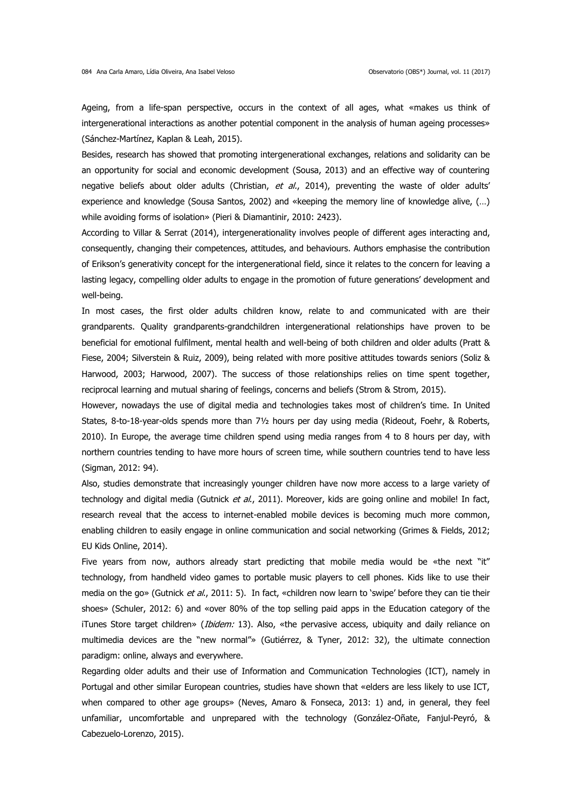Ageing, from a life-span perspective, occurs in the context of all ages, what «makes us think of intergenerational interactions as another potential component in the analysis of human ageing processes» (Sánchez-Martínez, Kaplan & Leah, 2015).

Besides, research has showed that promoting intergenerational exchanges, relations and solidarity can be an opportunity for social and economic development (Sousa, 2013) and an effective way of countering negative beliefs about older adults (Christian, et al., 2014), preventing the waste of older adults' experience and knowledge (Sousa Santos, 2002) and «keeping the memory line of knowledge alive, (…) while avoiding forms of isolation» (Pieri & Diamantinir, 2010: 2423).

According to Villar & Serrat (2014), intergenerationality involves people of different ages interacting and, consequently, changing their competences, attitudes, and behaviours. Authors emphasise the contribution of Erikson's generativity concept for the intergenerational field, since it relates to the concern for leaving a lasting legacy, compelling older adults to engage in the promotion of future generations' development and well-being.

In most cases, the first older adults children know, relate to and communicated with are their grandparents. Quality grandparents-grandchildren intergenerational relationships have proven to be beneficial for emotional fulfilment, mental health and well-being of both children and older adults (Pratt & Fiese, 2004; Silverstein & Ruiz, 2009), being related with more positive attitudes towards seniors (Soliz & Harwood, 2003; Harwood, 2007). The success of those relationships relies on time spent together, reciprocal learning and mutual sharing of feelings, concerns and beliefs (Strom & Strom, 2015).

However, nowadays the use of digital media and technologies takes most of children's time. In United States, 8-to-18-year-olds spends more than 7½ hours per day using media (Rideout, Foehr, & Roberts, 2010). In Europe, the average time children spend using media ranges from 4 to 8 hours per day, with northern countries tending to have more hours of screen time, while southern countries tend to have less (Sigman, 2012: 94).

Also, studies demonstrate that increasingly younger children have now more access to a large variety of technology and digital media (Gutnick et al., 2011). Moreover, kids are going online and mobile! In fact, research reveal that the access to internet-enabled mobile devices is becoming much more common, enabling children to easily engage in online communication and social networking (Grimes & Fields, 2012; EU Kids Online, 2014).

Five years from now, authors already start predicting that mobile media would be «the next "it" technology, from handheld video games to portable music players to cell phones. Kids like to use their media on the go» (Gutnick et al., 2011: 5). In fact, «children now learn to 'swipe' before they can tie their shoes» (Schuler, 2012: 6) and «over 80% of the top selling paid apps in the Education category of the iTunes Store target children» (*Ibidem:* 13). Also, «the pervasive access, ubiquity and daily reliance on multimedia devices are the "new normal"» (Gutiérrez, & Tyner, 2012: 32), the ultimate connection paradigm: online, always and everywhere.

Regarding older adults and their use of Information and Communication Technologies (ICT), namely in Portugal and other similar European countries, studies have shown that «elders are less likely to use ICT, when compared to other age groups» (Neves, Amaro & Fonseca, 2013: 1) and, in general, they feel unfamiliar, uncomfortable and unprepared with the technology (González-Oñate, Fanjul-Peyró, & Cabezuelo-Lorenzo, 2015).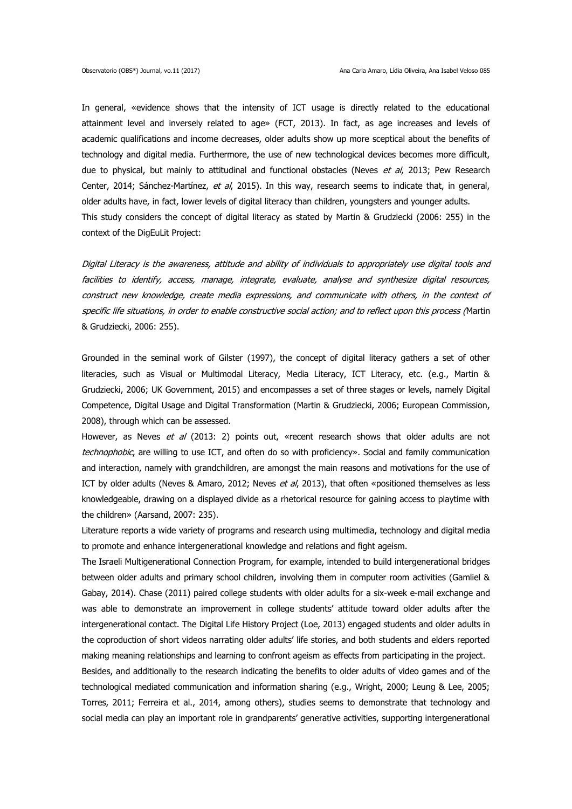In general, «evidence shows that the intensity of ICT usage is directly related to the educational attainment level and inversely related to age» (FCT, 2013). In fact, as age increases and levels of academic qualifications and income decreases, older adults show up more sceptical about the benefits of technology and digital media. Furthermore, the use of new technological devices becomes more difficult, due to physical, but mainly to attitudinal and functional obstacles (Neves et al, 2013; Pew Research Center, 2014; Sánchez-Martínez, et al, 2015). In this way, research seems to indicate that, in general, older adults have, in fact, lower levels of digital literacy than children, youngsters and younger adults. This study considers the concept of digital literacy as stated by Martin & Grudziecki (2006: 255) in the context of the DigEuLit Project:

Digital Literacy is the awareness, attitude and ability of individuals to appropriately use digital tools and facilities to identify, access, manage, integrate, evaluate, analyse and synthesize digital resources, construct new knowledge, create media expressions, and communicate with others, in the context of specific life situations, in order to enable constructive social action; and to reflect upon this process (Martin & Grudziecki, 2006: 255).

Grounded in the seminal work of Gilster (1997), the concept of digital literacy gathers a set of other literacies, such as Visual or Multimodal Literacy, Media Literacy, ICT Literacy, etc. (e.g., Martin & Grudziecki, 2006; UK Government, 2015) and encompasses a set of three stages or levels, namely Digital Competence, Digital Usage and Digital Transformation (Martin & Grudziecki, 2006; European Commission, 2008), through which can be assessed.

However, as Neves et al (2013: 2) points out, «recent research shows that older adults are not technophobic, are willing to use ICT, and often do so with proficiency». Social and family communication and interaction, namely with grandchildren, are amongst the main reasons and motivations for the use of ICT by older adults (Neves & Amaro, 2012; Neves et al, 2013), that often «positioned themselves as less knowledgeable, drawing on a displayed divide as a rhetorical resource for gaining access to playtime with the children» (Aarsand, 2007: 235).

Literature reports a wide variety of programs and research using multimedia, technology and digital media to promote and enhance intergenerational knowledge and relations and fight ageism.

The Israeli Multigenerational Connection Program, for example, intended to build intergenerational bridges between older adults and primary school children, involving them in computer room activities (Gamliel & Gabay, 2014). Chase (2011) paired college students with older adults for a six-week e-mail exchange and was able to demonstrate an improvement in college students' attitude toward older adults after the intergenerational contact. The Digital Life History Project (Loe, 2013) engaged students and older adults in the coproduction of short videos narrating older adults' life stories, and both students and elders reported making meaning relationships and learning to confront ageism as effects from participating in the project.

Besides, and additionally to the research indicating the benefits to older adults of video games and of the technological mediated communication and information sharing (e.g., Wright, 2000; Leung & Lee, 2005; Torres, 2011; Ferreira et al., 2014, among others), studies seems to demonstrate that technology and social media can play an important role in grandparents' generative activities, supporting intergenerational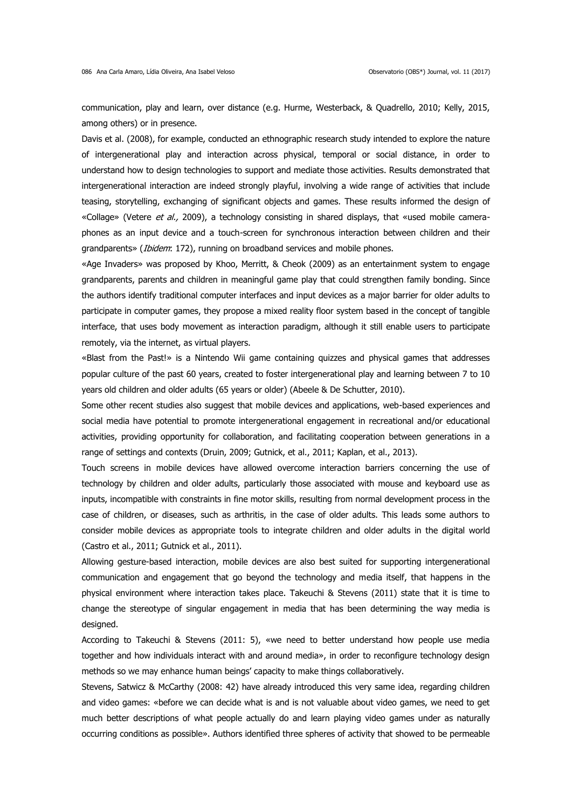communication, play and learn, over distance (e.g. Hurme, Westerback, & Quadrello, 2010; Kelly, 2015, among others) or in presence.

Davis et al. (2008), for example, conducted an ethnographic research study intended to explore the nature of intergenerational play and interaction across physical, temporal or social distance, in order to understand how to design technologies to support and mediate those activities. Results demonstrated that intergenerational interaction are indeed strongly playful, involving a wide range of activities that include teasing, storytelling, exchanging of significant objects and games. These results informed the design of «Collage» (Vetere et al., 2009), a technology consisting in shared displays, that «used mobile cameraphones as an input device and a touch-screen for synchronous interaction between children and their grandparents» (*Ibidem*: 172), running on broadband services and mobile phones.

«Age Invaders» was proposed by Khoo, Merritt, & Cheok (2009) as an entertainment system to engage grandparents, parents and children in meaningful game play that could strengthen family bonding. Since the authors identify traditional computer interfaces and input devices as a major barrier for older adults to participate in computer games, they propose a mixed reality floor system based in the concept of tangible interface, that uses body movement as interaction paradigm, although it still enable users to participate remotely, via the internet, as virtual players.

«Blast from the Past!» is a Nintendo Wii game containing quizzes and physical games that addresses popular culture of the past 60 years, created to foster intergenerational play and learning between 7 to 10 years old children and older adults (65 years or older) (Abeele & De Schutter, 2010).

Some other recent studies also suggest that mobile devices and applications, web-based experiences and social media have potential to promote intergenerational engagement in recreational and/or educational activities, providing opportunity for collaboration, and facilitating cooperation between generations in a range of settings and contexts (Druin, 2009; Gutnick, et al., 2011; Kaplan, et al., 2013).

Touch screens in mobile devices have allowed overcome interaction barriers concerning the use of technology by children and older adults, particularly those associated with mouse and keyboard use as inputs, incompatible with constraints in fine motor skills, resulting from normal development process in the case of children, or diseases, such as arthritis, in the case of older adults. This leads some authors to consider mobile devices as appropriate tools to integrate children and older adults in the digital world (Castro et al., 2011; Gutnick et al., 2011).

Allowing gesture-based interaction, mobile devices are also best suited for supporting intergenerational communication and engagement that go beyond the technology and media itself, that happens in the physical environment where interaction takes place. Takeuchi & Stevens (2011) state that it is time to change the stereotype of singular engagement in media that has been determining the way media is designed.

According to Takeuchi & Stevens (2011: 5), «we need to better understand how people use media together and how individuals interact with and around media», in order to reconfigure technology design methods so we may enhance human beings' capacity to make things collaboratively.

Stevens, Satwicz & McCarthy (2008: 42) have already introduced this very same idea, regarding children and video games: «before we can decide what is and is not valuable about video games, we need to get much better descriptions of what people actually do and learn playing video games under as naturally occurring conditions as possible». Authors identified three spheres of activity that showed to be permeable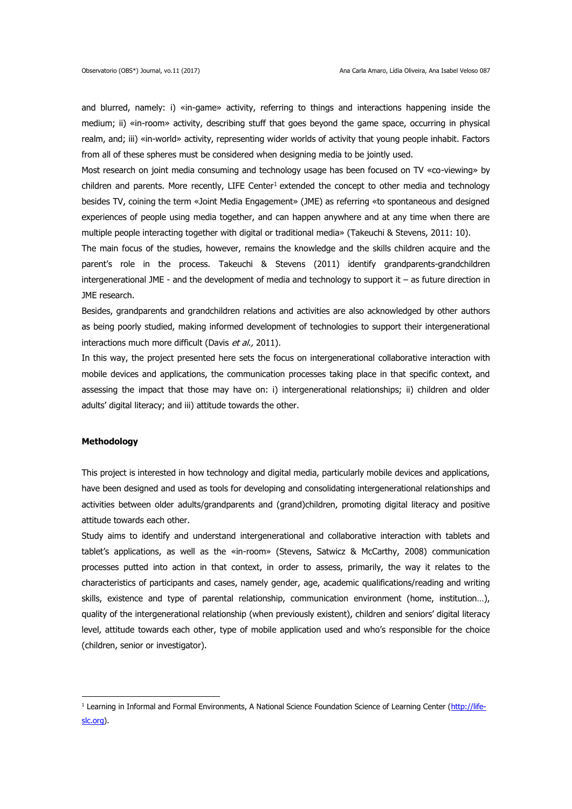and blurred, namely: i) «in-game» activity, referring to things and interactions happening inside the medium; ii) «in-room» activity, describing stuff that goes beyond the game space, occurring in physical realm, and; iii) «in-world» activity, representing wider worlds of activity that young people inhabit. Factors from all of these spheres must be considered when designing media to be jointly used.

Most research on joint media consuming and technology usage has been focused on TV «co-viewing» by children and parents. More recently, LIFE Center<sup>1</sup> extended the concept to other media and technology besides TV, coining the term «Joint Media Engagement» (JME) as referring «to spontaneous and designed experiences of people using media together, and can happen anywhere and at any time when there are multiple people interacting together with digital or traditional media» (Takeuchi & Stevens, 2011: 10).

The main focus of the studies, however, remains the knowledge and the skills children acquire and the parent's role in the process. Takeuchi & Stevens (2011) identify grandparents-grandchildren intergenerational JME - and the development of media and technology to support it  $-$  as future direction in JME research.

Besides, grandparents and grandchildren relations and activities are also acknowledged by other authors as being poorly studied, making informed development of technologies to support their intergenerational interactions much more difficult (Davis et al., 2011).

In this way, the project presented here sets the focus on intergenerational collaborative interaction with mobile devices and applications, the communication processes taking place in that specific context, and assessing the impact that those may have on: i) intergenerational relationships; ii) children and older adults' digital literacy; and iii) attitude towards the other.

#### **Methodology**

<u>.</u>

This project is interested in how technology and digital media, particularly mobile devices and applications, have been designed and used as tools for developing and consolidating intergenerational relationships and activities between older adults/grandparents and (grand)children, promoting digital literacy and positive attitude towards each other.

Study aims to identify and understand intergenerational and collaborative interaction with tablets and tablet's applications, as well as the «in-room» (Stevens, Satwicz & McCarthy, 2008) communication processes putted into action in that context, in order to assess, primarily, the way it relates to the characteristics of participants and cases, namely gender, age, academic qualifications/reading and writing skills, existence and type of parental relationship, communication environment (home, institution…), quality of the intergenerational relationship (when previously existent), children and seniors' digital literacy level, attitude towards each other, type of mobile application used and who's responsible for the choice (children, senior or investigator).

 $1$  Learning in Informal and Formal Environments, A National Science Foundation Science of Learning Center [\(http://life](http://life-slc.org/)[slc.org\)](http://life-slc.org/).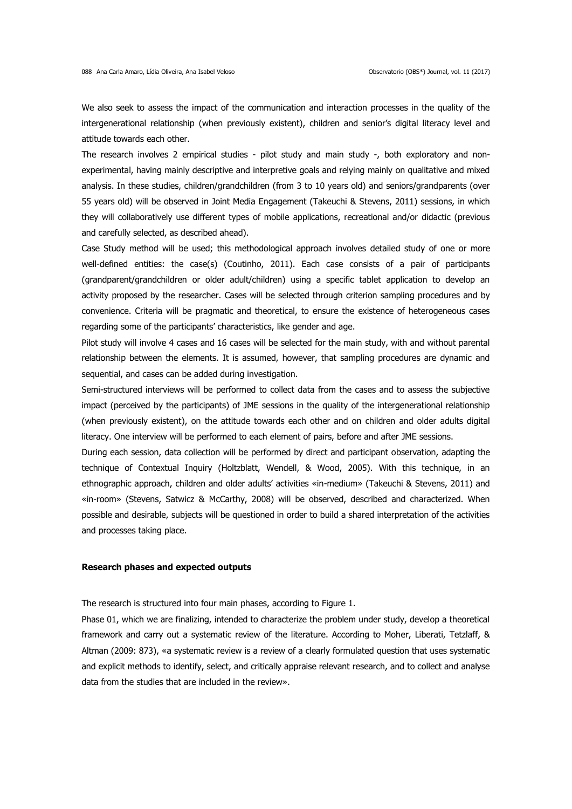We also seek to assess the impact of the communication and interaction processes in the quality of the intergenerational relationship (when previously existent), children and senior's digital literacy level and attitude towards each other.

The research involves 2 empirical studies - pilot study and main study -, both exploratory and nonexperimental, having mainly descriptive and interpretive goals and relying mainly on qualitative and mixed analysis. In these studies, children/grandchildren (from 3 to 10 years old) and seniors/grandparents (over 55 years old) will be observed in Joint Media Engagement (Takeuchi & Stevens, 2011) sessions, in which they will collaboratively use different types of mobile applications, recreational and/or didactic (previous and carefully selected, as described ahead).

Case Study method will be used; this methodological approach involves detailed study of one or more well-defined entities: the case(s) (Coutinho, 2011). Each case consists of a pair of participants (grandparent/grandchildren or older adult/children) using a specific tablet application to develop an activity proposed by the researcher. Cases will be selected through criterion sampling procedures and by convenience. Criteria will be pragmatic and theoretical, to ensure the existence of heterogeneous cases regarding some of the participants' characteristics, like gender and age.

Pilot study will involve 4 cases and 16 cases will be selected for the main study, with and without parental relationship between the elements. It is assumed, however, that sampling procedures are dynamic and sequential, and cases can be added during investigation.

Semi-structured interviews will be performed to collect data from the cases and to assess the subjective impact (perceived by the participants) of JME sessions in the quality of the intergenerational relationship (when previously existent), on the attitude towards each other and on children and older adults digital literacy. One interview will be performed to each element of pairs, before and after JME sessions.

During each session, data collection will be performed by direct and participant observation, adapting the technique of Contextual Inquiry (Holtzblatt, Wendell, & Wood, 2005). With this technique, in an ethnographic approach, children and older adults' activities «in-medium» (Takeuchi & Stevens, 2011) and «in-room» (Stevens, Satwicz & McCarthy, 2008) will be observed, described and characterized. When possible and desirable, subjects will be questioned in order to build a shared interpretation of the activities and processes taking place.

#### **Research phases and expected outputs**

The research is structured into four main phases, according to Figure 1.

Phase 01, which we are finalizing, intended to characterize the problem under study, develop a theoretical framework and carry out a systematic review of the literature. According to Moher, Liberati, Tetzlaff, & Altman (2009: 873), «a systematic review is a review of a clearly formulated question that uses systematic and explicit methods to identify, select, and critically appraise relevant research, and to collect and analyse data from the studies that are included in the review».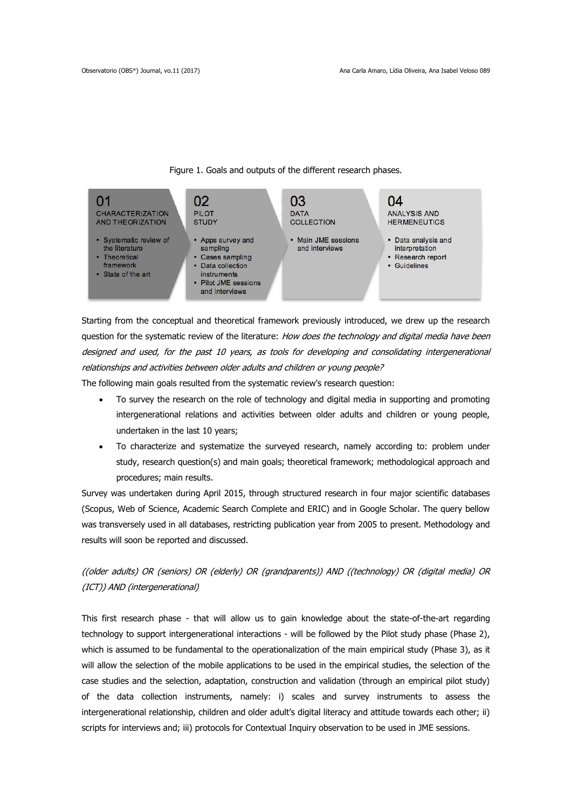

Figure 1. Goals and outputs of the different research phases.

Starting from the conceptual and theoretical framework previously introduced, we drew up the research question for the systematic review of the literature: How does the technology and digital media have been designed and used, for the past 10 years, as tools for developing and consolidating intergenerational relationships and activities between older adults and children or young people?

The following main goals resulted from the systematic review's research question:

- To survey the research on the role of technology and digital media in supporting and promoting intergenerational relations and activities between older adults and children or young people, undertaken in the last 10 years;
- To characterize and systematize the surveyed research, namely according to: problem under study, research question(s) and main goals; theoretical framework; methodological approach and procedures; main results.

Survey was undertaken during April 2015, through structured research in four major scientific databases (Scopus, Web of Science, Academic Search Complete and ERIC) and in Google Scholar. The query bellow was transversely used in all databases, restricting publication year from 2005 to present. Methodology and results will soon be reported and discussed.

((older adults) OR (seniors) OR (elderly) OR (grandparents)) AND ((technology) OR (digital media) OR (ICT)) AND (intergenerational)

This first research phase - that will allow us to gain knowledge about the state-of-the-art regarding technology to support intergenerational interactions - will be followed by the Pilot study phase (Phase 2), which is assumed to be fundamental to the operationalization of the main empirical study (Phase 3), as it will allow the selection of the mobile applications to be used in the empirical studies, the selection of the case studies and the selection, adaptation, construction and validation (through an empirical pilot study) of the data collection instruments, namely: i) scales and survey instruments to assess the intergenerational relationship, children and older adult's digital literacy and attitude towards each other; ii) scripts for interviews and; iii) protocols for Contextual Inquiry observation to be used in JME sessions.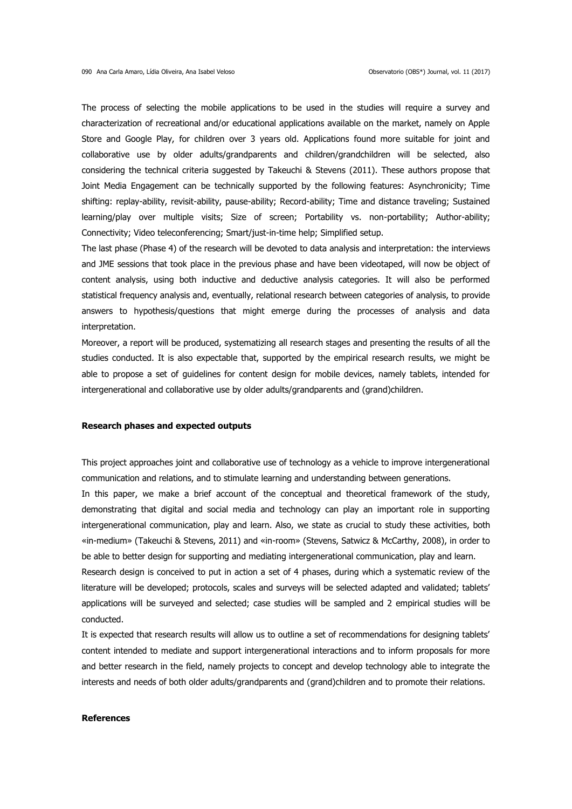The process of selecting the mobile applications to be used in the studies will require a survey and characterization of recreational and/or educational applications available on the market, namely on Apple Store and Google Play, for children over 3 years old. Applications found more suitable for joint and collaborative use by older adults/grandparents and children/grandchildren will be selected, also considering the technical criteria suggested by Takeuchi & Stevens (2011). These authors propose that Joint Media Engagement can be technically supported by the following features: Asynchronicity; Time shifting: replay-ability, revisit-ability, pause-ability; Record-ability; Time and distance traveling; Sustained learning/play over multiple visits; Size of screen; Portability vs. non-portability; Author-ability; Connectivity; Video teleconferencing; Smart/just-in-time help; Simplified setup.

The last phase (Phase 4) of the research will be devoted to data analysis and interpretation: the interviews and JME sessions that took place in the previous phase and have been videotaped, will now be object of content analysis, using both inductive and deductive analysis categories. It will also be performed statistical frequency analysis and, eventually, relational research between categories of analysis, to provide answers to hypothesis/questions that might emerge during the processes of analysis and data interpretation.

Moreover, a report will be produced, systematizing all research stages and presenting the results of all the studies conducted. It is also expectable that, supported by the empirical research results, we might be able to propose a set of guidelines for content design for mobile devices, namely tablets, intended for intergenerational and collaborative use by older adults/grandparents and (grand)children.

### **Research phases and expected outputs**

This project approaches joint and collaborative use of technology as a vehicle to improve intergenerational communication and relations, and to stimulate learning and understanding between generations.

In this paper, we make a brief account of the conceptual and theoretical framework of the study, demonstrating that digital and social media and technology can play an important role in supporting intergenerational communication, play and learn. Also, we state as crucial to study these activities, both «in-medium» (Takeuchi & Stevens, 2011) and «in-room» (Stevens, Satwicz & McCarthy, 2008), in order to be able to better design for supporting and mediating intergenerational communication, play and learn. Research design is conceived to put in action a set of 4 phases, during which a systematic review of the

literature will be developed; protocols, scales and surveys will be selected adapted and validated; tablets' applications will be surveyed and selected; case studies will be sampled and 2 empirical studies will be conducted.

It is expected that research results will allow us to outline a set of recommendations for designing tablets' content intended to mediate and support intergenerational interactions and to inform proposals for more and better research in the field, namely projects to concept and develop technology able to integrate the interests and needs of both older adults/grandparents and (grand)children and to promote their relations.

### **References**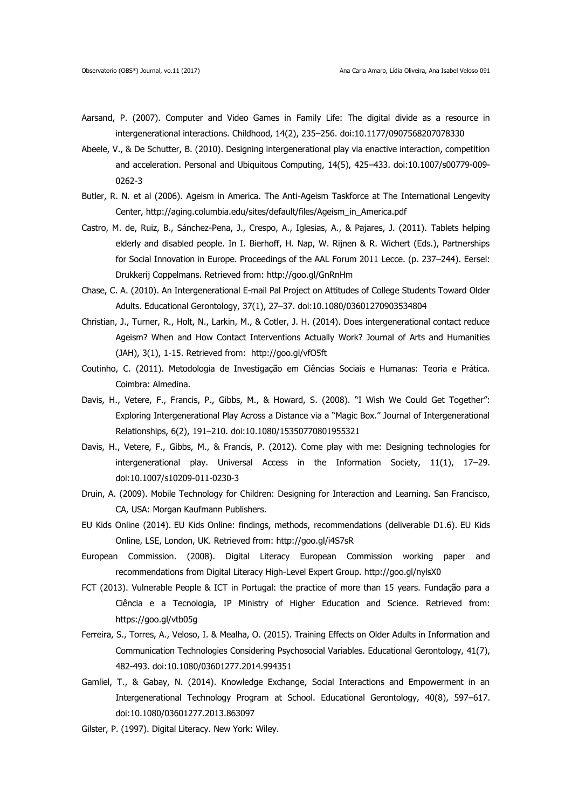- Aarsand, P. (2007). Computer and Video Games in Family Life: The digital divide as a resource in intergenerational interactions. Childhood, 14(2), 235–256. doi:10.1177/0907568207078330
- Abeele, V., & De Schutter, B. (2010). Designing intergenerational play via enactive interaction, competition and acceleration. Personal and Ubiquitous Computing, 14(5), 425–433. doi:10.1007/s00779-009- 0262-3
- Butler, R. N. et al (2006). Ageism in America. The Anti-Ageism Taskforce at The International Lengevity Center, http://aging.columbia.edu/sites/default/files/Ageism\_in\_America.pdf
- Castro, M. de, Ruiz, B., Sánchez-Pena, J., Crespo, A., Iglesias, A., & Pajares, J. (2011). Tablets helping elderly and disabled people. In I. Bierhoff, H. Nap, W. Rijnen & R. Wichert (Eds.), Partnerships for Social Innovation in Europe. Proceedings of the AAL Forum 2011 Lecce. (p. 237–244). Eersel: Drukkerij Coppelmans. Retrieved from: http://goo.gl/GnRnHm
- Chase, C. A. (2010). An Intergenerational E-mail Pal Project on Attitudes of College Students Toward Older Adults. Educational Gerontology, 37(1), 27–37. doi:10.1080/03601270903534804
- Christian, J., Turner, R., Holt, N., Larkin, M., & Cotler, J. H. (2014). Does intergenerational contact reduce Ageism? When and How Contact Interventions Actually Work? Journal of Arts and Humanities (JAH), 3(1), 1-15. Retrieved from: http://goo.gl/vfO5ft
- Coutinho, C. (2011). Metodologia de Investigação em Ciências Sociais e Humanas: Teoria e Prática. Coimbra: Almedina.
- Davis, H., Vetere, F., Francis, P., Gibbs, M., & Howard, S. (2008). "I Wish We Could Get Together": Exploring Intergenerational Play Across a Distance via a "Magic Box." Journal of Intergenerational Relationships, 6(2), 191–210. doi:10.1080/15350770801955321
- Davis, H., Vetere, F., Gibbs, M., & Francis, P. (2012). Come play with me: Designing technologies for intergenerational play. Universal Access in the Information Society, 11(1), 17–29. doi:10.1007/s10209-011-0230-3
- Druin, A. (2009). Mobile Technology for Children: Designing for Interaction and Learning. San Francisco, CA, USA: Morgan Kaufmann Publishers.
- EU Kids Online (2014). EU Kids Online: findings, methods, recommendations (deliverable D1.6). EU Kids Online, LSE, London, UK. Retrieved from: http://goo.gl/i4S7sR
- European Commission. (2008). Digital Literacy European Commission working paper and recommendations from Digital Literacy High-Level Expert Group.<http://goo.gl/nylsX0>
- FCT (2013). Vulnerable People & ICT in Portugal: the practice of more than 15 years. Fundação para a Ciência e a Tecnologia, IP Ministry of Higher Education and Science. Retrieved from: https://goo.gl/vtb05g
- Ferreira, S., Torres, A., Veloso, I. & Mealha, O. (2015). Training Effects on Older Adults in Information and Communication Technologies Considering Psychosocial Variables. Educational Gerontology, 41(7), 482-493. doi:10.1080/03601277.2014.994351
- Gamliel, T., & Gabay, N. (2014). Knowledge Exchange, Social Interactions and Empowerment in an Intergenerational Technology Program at School. Educational Gerontology, 40(8), 597–617. doi:10.1080/03601277.2013.863097
- Gilster, P. (1997). Digital Literacy. New York: Wiley.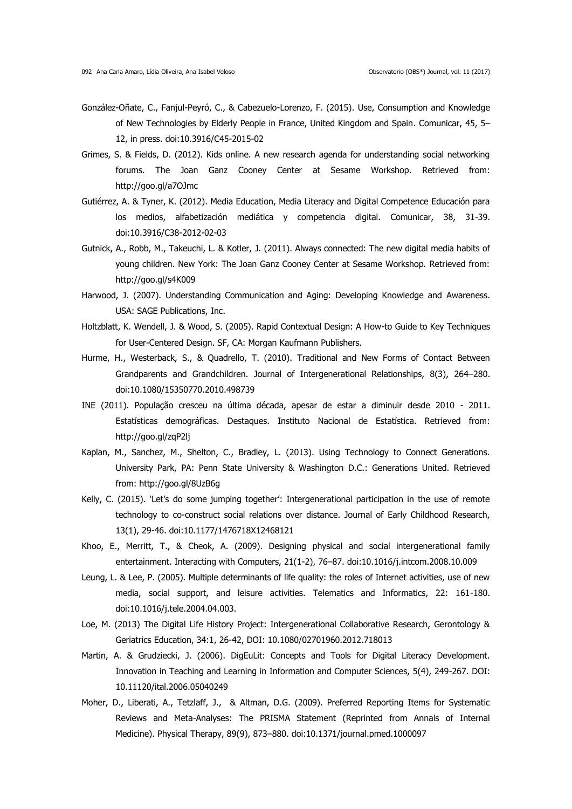- González-Oñate, C., Fanjul-Peyró, C., & Cabezuelo-Lorenzo, F. (2015). Use, Consumption and Knowledge of New Technologies by Elderly People in France, United Kingdom and Spain. Comunicar, 45, 5– 12, in press. doi:10.3916/C45-2015-02
- Grimes, S. & Fields, D. (2012). Kids online. A new research agenda for understanding social networking forums. The Joan Ganz Cooney Center at Sesame Workshop. Retrieved from: http://goo.gl/a7OJmc
- Gutiérrez, A. & Tyner, K. (2012). Media Education, Media Literacy and Digital Competence Educación para los medios, alfabetización mediática y competencia digital. Comunicar, 38, 31-39. doi:10.3916/C38-2012-02-03
- Gutnick, A., Robb, M., Takeuchi, L. & Kotler, J. (2011). Always connected: The new digital media habits of young children. New York: The Joan Ganz Cooney Center at Sesame Workshop. Retrieved from: http://goo.gl/s4K009
- Harwood, J. (2007). Understanding Communication and Aging: Developing Knowledge and Awareness. USA: SAGE Publications, Inc.
- Holtzblatt, K. Wendell, J. & Wood, S. (2005). Rapid Contextual Design: A How-to Guide to Key Techniques for User-Centered Design. SF, CA: Morgan Kaufmann Publishers.
- Hurme, H., Westerback, S., & Quadrello, T. (2010). Traditional and New Forms of Contact Between Grandparents and Grandchildren. Journal of Intergenerational Relationships, 8(3), 264–280. doi:10.1080/15350770.2010.498739
- INE (2011). População cresceu na última década, apesar de estar a diminuir desde 2010 2011. Estatísticas demográficas. Destaques. Instituto Nacional de Estatística. Retrieved from: http://goo.gl/zqP2lj
- Kaplan, M., Sanchez, M., Shelton, C., Bradley, L. (2013). Using Technology to Connect Generations. University Park, PA: Penn State University & Washington D.C.: Generations United. Retrieved from: http://goo.gl/8UzB6g
- Kelly, C. (2015). 'Let's do some jumping together': Intergenerational participation in the use of remote technology to co-construct social relations over distance. Journal of Early Childhood Research, 13(1), 29-46. doi:10.1177/1476718X12468121
- Khoo, E., Merritt, T., & Cheok, A. (2009). Designing physical and social intergenerational family entertainment. Interacting with Computers, 21(1-2), 76–87. doi:10.1016/j.intcom.2008.10.009
- Leung, L. & Lee, P. (2005). Multiple determinants of life quality: the roles of Internet activities, use of new media, social support, and leisure activities. Telematics and Informatics, 22: 161-180. doi:10.1016/j.tele.2004.04.003.
- Loe, M. (2013) The Digital Life History Project: Intergenerational Collaborative Research, Gerontology & Geriatrics Education, 34:1, 26-42, DOI: 10.1080/02701960.2012.718013
- Martin, A. & Grudziecki, J. (2006). DigEuLit: Concepts and Tools for Digital Literacy Development. Innovation in Teaching and Learning in Information and Computer Sciences, 5(4), 249-267. DOI: 10.11120/ital.2006.05040249
- Moher, D., Liberati, A., Tetzlaff, J., & Altman, D.G. (2009). Preferred Reporting Items for Systematic Reviews and Meta-Analyses: The PRISMA Statement (Reprinted from Annals of Internal Medicine). Physical Therapy, 89(9), 873–880. doi:10.1371/journal.pmed.1000097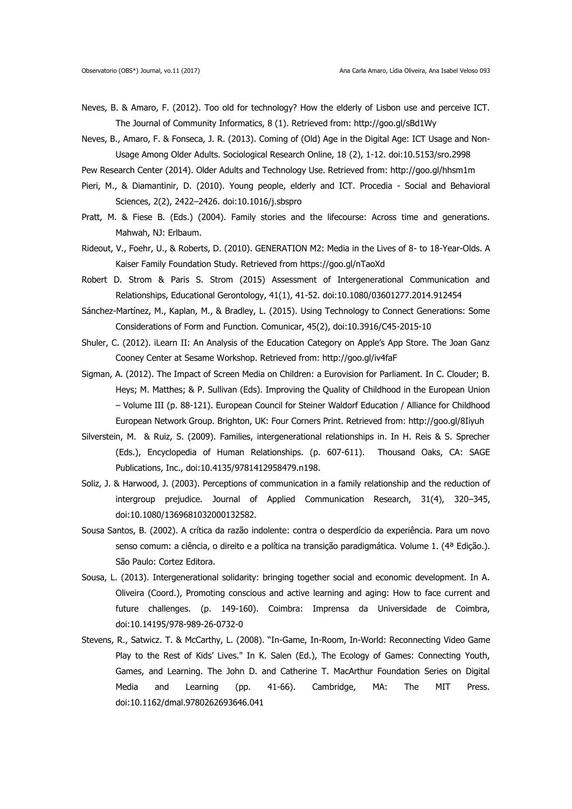- Neves, B. & Amaro, F. (2012). Too old for technology? How the elderly of Lisbon use and perceive ICT. The Journal of Community Informatics, 8 (1). Retrieved from: http://goo.gl/sBd1Wy
- Neves, B., Amaro, F. & Fonseca, J. R. (2013). Coming of (Old) Age in the Digital Age: ICT Usage and Non-Usage Among Older Adults. Sociological Research Online, 18 (2), 1-12. doi:10.5153/sro.2998
- Pew Research Center (2014). Older Adults and Technology Use. Retrieved from: http://goo.gl/hhsm1m
- Pieri, M., & Diamantinir, D. (2010). Young people, elderly and ICT. Procedia Social and Behavioral Sciences, 2(2), 2422–2426. doi:10.1016/j.sbspro
- Pratt, M. & Fiese B. (Eds.) (2004). Family stories and the lifecourse: Across time and generations. Mahwah, NJ: Erlbaum.
- Rideout, V., Foehr, U., & Roberts, D. (2010). GENERATION M2: Media in the Lives of 8- to 18-Year-Olds. A Kaiser Family Foundation Study. Retrieved from https://goo.gl/nTaoXd
- Robert D. Strom & Paris S. Strom (2015) Assessment of Intergenerational Communication and Relationships, Educational Gerontology, 41(1), 41-52. doi:10.1080/03601277.2014.912454
- Sánchez-Martínez, M., Kaplan, M., & Bradley, L. (2015). Using Technology to Connect Generations: Some Considerations of Form and Function. Comunicar, 45(2), doi:10.3916/C45-2015-10
- Shuler, C. (2012). iLearn II: An Analysis of the Education Category on Apple's App Store. The Joan Ganz Cooney Center at Sesame Workshop. Retrieved from: http://goo.gl/iv4faF
- Sigman, A. (2012). The Impact of Screen Media on Children: a Eurovision for Parliament. In C. Clouder; B. Heys; M. Matthes; & P. Sullivan (Eds). Improving the Quality of Childhood in the European Union – Volume III (p. 88-121). European Council for Steiner Waldorf Education / Alliance for Childhood European Network Group. Brighton, UK: Four Corners Print. Retrieved from: http://goo.gl/8Iiyuh
- Silverstein, M. & Ruiz, S. (2009). Families, intergenerational relationships in. In H. Reis & S. Sprecher (Eds.), Encyclopedia of Human Relationships. (p. 607-611). Thousand Oaks, CA: SAGE Publications, Inc., doi:10.4135/9781412958479.n198.
- Soliz, J. & Harwood, J. (2003). Perceptions of communication in a family relationship and the reduction of intergroup prejudice. Journal of Applied Communication Research, 31(4), 320–345, doi:10.1080/1369681032000132582.
- Sousa Santos, B. (2002). A crítica da razão indolente: contra o desperdício da experiência. Para um novo senso comum: a ciência, o direito e a política na transição paradigmática. Volume 1. (4ª Edição.). São Paulo: Cortez Editora.
- Sousa, L. (2013). Intergenerational solidarity: bringing together social and economic development. In A. Oliveira (Coord.), Promoting conscious and active learning and aging: How to face current and future challenges. (p. 149-160). Coimbra: Imprensa da Universidade de Coimbra, doi:10.14195/978-989-26-0732-0
- Stevens, R., Satwicz. T. & McCarthy, L. (2008). "In-Game, In-Room, In-World: Reconnecting Video Game Play to the Rest of Kids' Lives." In K. Salen (Ed.), The Ecology of Games: Connecting Youth, Games, and Learning. The John D. and Catherine T. MacArthur Foundation Series on Digital Media and Learning (pp. 41-66). Cambridge, MA: The MIT Press. doi:10.1162/dmal.9780262693646.041